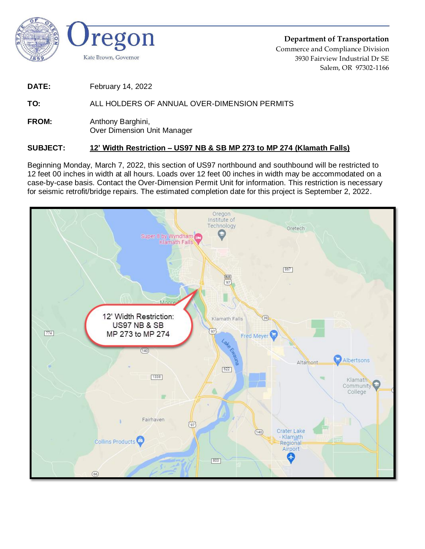

**Department of Transportation** Commerce and Compliance Division 3930 Fairview Industrial Dr SE Salem, OR 97302-1166

**DATE:** February 14, 2022

## **TO:** ALL HOLDERS OF ANNUAL OVER-DIMENSION PERMITS

**FROM:** Anthony Barghini, Over Dimension Unit Manager

## **SUBJECT: 12' Width Restriction – US97 NB & SB MP 273 to MP 274 (Klamath Falls)**

Beginning Monday, March 7, 2022, this section of US97 northbound and southbound will be restricted to 12 feet 00 inches in width at all hours. Loads over 12 feet 00 inches in width may be accommodated on a case-by-case basis. Contact the Over-Dimension Permit Unit for information. This restriction is necessary for seismic retrofit/bridge repairs. The estimated completion date for this project is September 2, 2022.